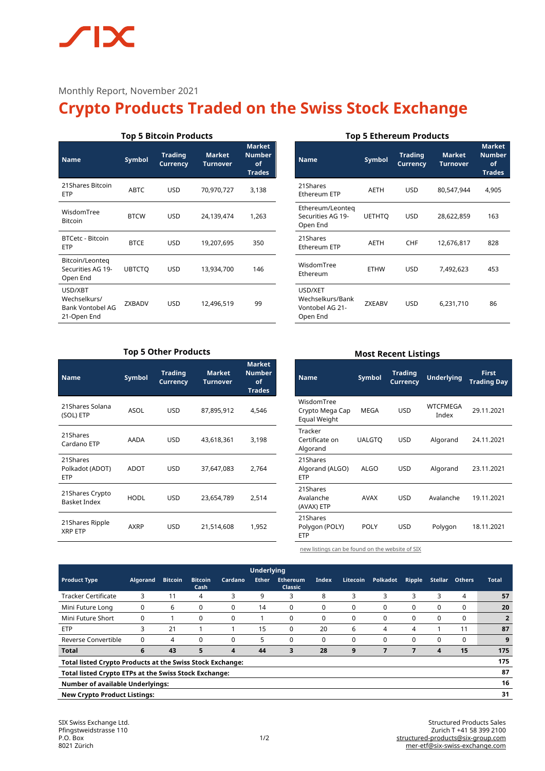# $\sqrt{2}$ IX

Monthly Report, November 2021

# **Crypto Products Traded on the Swiss Stock Exchange**

| <b>Top 5 Bitcoin Products</b>                              |               |                            |                                  |                                                       |  |  |  |  |
|------------------------------------------------------------|---------------|----------------------------|----------------------------------|-------------------------------------------------------|--|--|--|--|
| <b>Name</b>                                                | Symbol        | <b>Trading</b><br>Currency | <b>Market</b><br><b>Turnover</b> | <b>Market</b><br><b>Number</b><br>οf<br><b>Trades</b> |  |  |  |  |
| 21 Shares Bitcoin<br><b>FTP</b>                            | <b>ARTC</b>   | USD                        | 70,970,727                       | 3,138                                                 |  |  |  |  |
| WisdomTree<br><b>Bitcoin</b>                               | <b>BTCW</b>   | USD                        | 24,139,474                       | 1,263                                                 |  |  |  |  |
| BTCetc - Bitcoin<br><b>FTP</b>                             | <b>BTCE</b>   | USD                        | 19,207,695                       | 350                                                   |  |  |  |  |
| Bitcoin/Leonteg<br>Securities AG 19-<br>Open End           | <b>UBTCTO</b> | USD                        | 13,934,700                       | 146                                                   |  |  |  |  |
| USD/XBT<br>Wechselkurs/<br>Bank Vontobel AG<br>21-Open End | <b>7XBADV</b> | USD                        | 12,496,519                       | 99                                                    |  |  |  |  |

## **Top 5 Ethereum Products**

| <b>Name</b>                                                | Symbol        | <b>Trading</b><br><b>Currency</b> | <b>Market</b><br><b>Turnover</b> | Market<br><b>Number</b><br>of<br><b>Trades</b> |
|------------------------------------------------------------|---------------|-----------------------------------|----------------------------------|------------------------------------------------|
| 21Shares<br>Ethereum ETP                                   | AETH          | <b>USD</b>                        | 80,547,944                       | 4,905                                          |
| Ethereum/Leonteg<br>Securities AG 19-<br>Open End          | <b>UETHTO</b> | <b>USD</b>                        | 28,622,859                       | 163                                            |
| 21Shares<br>Ethereum ETP                                   | AETH          | <b>CHF</b>                        | 12,676,817                       | 828                                            |
| WisdomTree<br>Ethereum                                     | <b>ETHW</b>   | <b>USD</b>                        | 7,492,623                        | 453                                            |
| USD/XET<br>Wechselkurs/Bank<br>Vontobel AG 21-<br>Open End | <b>ZXEABV</b> | <b>USD</b>                        | 6,231,710                        | 86                                             |

# **Top 5 Other Products**

| <b>Name</b>                               | Symbol      | <b>Trading</b><br>Currency | <b>Market</b><br><b>Turnover</b> | <b>Market</b><br><b>Number</b><br>of<br><b>Trades</b> |
|-------------------------------------------|-------------|----------------------------|----------------------------------|-------------------------------------------------------|
| 21Shares Solana<br>(SOL) ETP              | <b>ASOL</b> | <b>USD</b>                 | 87,895,912                       | 4,546                                                 |
| 21Shares<br>Cardano ETP                   | AADA        | <b>USD</b>                 | 43,618,361                       | 3,198                                                 |
| 21Shares<br>Polkadot (ADOT)<br><b>ETP</b> | ADOT        | <b>USD</b>                 | 37,647,083                       | 2,764                                                 |
| 21 Shares Crypto<br><b>Basket Index</b>   | <b>HODL</b> | <b>USD</b>                 | 23,654,789                       | 2,514                                                 |
| 21 Shares Ripple<br><b>XRP ETP</b>        | <b>AXRP</b> | <b>USD</b>                 | 21,514,608                       | 1,952                                                 |

| <b>Most Recent Listings</b> |                |   |  |  |  |  |
|-----------------------------|----------------|---|--|--|--|--|
| .                           | <b>Trading</b> | . |  |  |  |  |

| <b>Name</b>                                   | <b>Symbol</b> | Trading<br><b>Currency</b> | <b>Underlying</b> | First<br><b>Trading Day</b> |  |
|-----------------------------------------------|---------------|----------------------------|-------------------|-----------------------------|--|
| WisdomTree<br>Crypto Mega Cap<br>Equal Weight | MEGA          | <b>USD</b>                 | WTCFMEGA<br>Index | 29.11.2021                  |  |
| Tracker<br>Certificate on<br>Algorand         | <b>UALGTO</b> | <b>USD</b>                 | Algorand          | 24.11.2021                  |  |
| 21Shares<br>Algorand (ALGO)<br><b>ETP</b>     | ALGO          | <b>USD</b>                 | Algorand          | 23.11.2021                  |  |
| 21Shares<br>Avalanche<br>(AVAX) ETP           | AVAX          | USD                        | Avalanche         | 19.11.2021                  |  |
| 21Shares<br>Polygon (POLY)<br><b>ETP</b>      | POLY          | USD                        | Polygon           | 18.11.2021                  |  |

[new listings can be found on the website of SIX](https://www.six-structured-products.com/de/suche/Krypto%20Produkte)

| <b>Underlying</b>                                                       |                 |                |                        |         |              |                                   |          |          |          |        |                |               |              |
|-------------------------------------------------------------------------|-----------------|----------------|------------------------|---------|--------------|-----------------------------------|----------|----------|----------|--------|----------------|---------------|--------------|
| <b>Product Type</b>                                                     | <b>Algorand</b> | <b>Bitcoin</b> | <b>Bitcoin</b><br>Cash | Cardano | <b>Ether</b> | <b>Ethereum</b><br><b>Classic</b> | Index    | Litecoin | Polkadot | Ripple | <b>Stellar</b> | <b>Others</b> | <b>Total</b> |
| <b>Tracker Certificate</b>                                              | 3               | 11             | 4                      | 3       | 9            | 3                                 | 8        | 3        | 3        | 3      | 3              | 4             | 57           |
| Mini Future Long                                                        |                 | 6              | 0                      | 0       | 14           | 0                                 | 0        | 0        | 0        | 0      | 0              | 0             | 20           |
| Mini Future Short                                                       |                 |                |                        | 0       |              | 0                                 | $\Omega$ | 0        | 0        | 0      | 0              | 0             |              |
| <b>ETP</b>                                                              | 3               | 21             |                        |         | 15           | 0                                 | 20       | 6        | 4        | 4      |                | 11            | 87           |
| Reverse Convertible                                                     |                 | 4              | 0                      | 0       | 5            | 0                                 | 0        | 0        | 0        | 0      | 0              | 0             | 9            |
| <b>Total</b>                                                            | 6               | 43             | 5                      | 4       | 44           | 3                                 | 28       | 9        |          |        | 4              | 15            | 175          |
| 175<br><b>Total listed Crypto Products at the Swiss Stock Exchange:</b> |                 |                |                        |         |              |                                   |          |          |          |        |                |               |              |
| 87<br>Total listed Crypto ETPs at the Swiss Stock Exchange:             |                 |                |                        |         |              |                                   |          |          |          |        |                |               |              |
| 16<br><b>Number of available Underlyings:</b>                           |                 |                |                        |         |              |                                   |          |          |          |        |                |               |              |
| 31<br><b>New Crypto Product Listings:</b>                               |                 |                |                        |         |              |                                   |          |          |          |        |                |               |              |